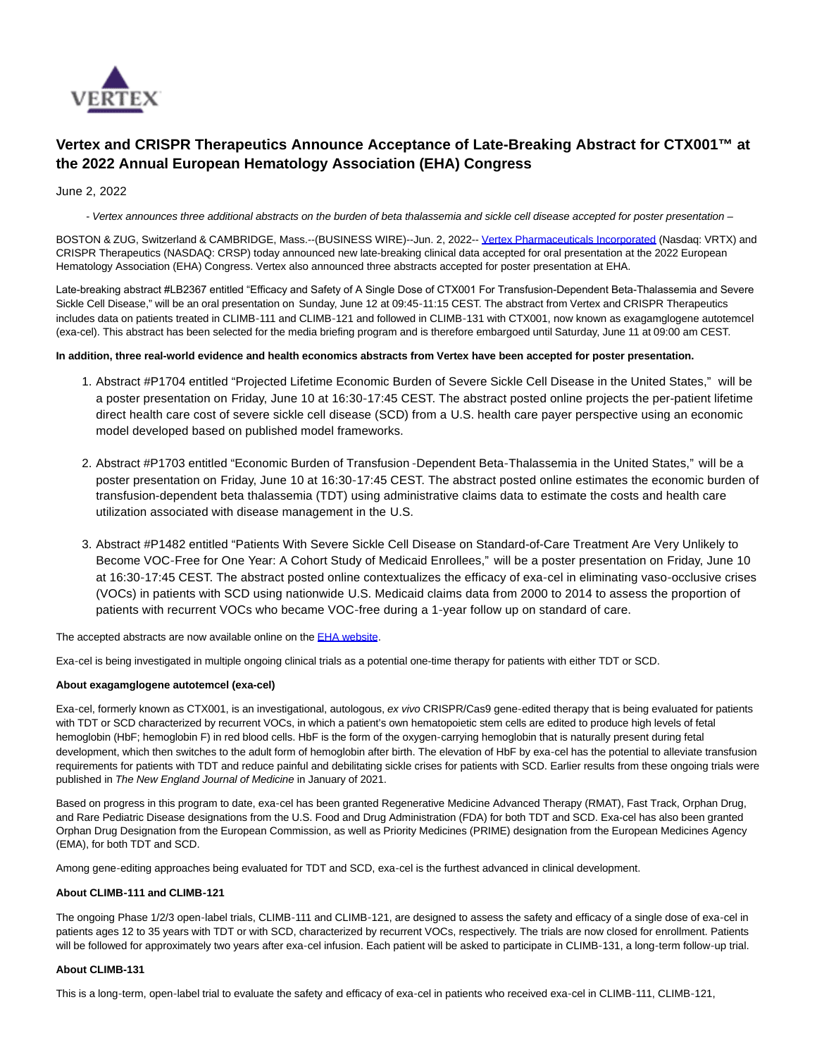

# **Vertex and CRISPR Therapeutics Announce Acceptance of Late-Breaking Abstract for CTX001™ at the 2022 Annual European Hematology Association (EHA) Congress**

June 2, 2022

- Vertex announces three additional abstracts on the burden of beta thalassemia and sickle cell disease accepted for poster presentation -

BOSTON & ZUG, Switzerland & CAMBRIDGE, Mass.--(BUSINESS WIRE)--Jun. 2, 2022-[- Vertex Pharmaceuticals Incorporated \(](https://cts.businesswire.com/ct/CT?id=smartlink&url=http%3A%2F%2Fwww.vrtx.com%2F&esheet=52737226&newsitemid=20220601006221&lan=en-US&anchor=Vertex+Pharmaceuticals+Incorporated&index=1&md5=11d6e0c934bc705e69d317a496593c2d)Nasdaq: VRTX) and CRISPR Therapeutics (NASDAQ: CRSP) today announced new late-breaking clinical data accepted for oral presentation at the 2022 European Hematology Association (EHA) Congress. Vertex also announced three abstracts accepted for poster presentation at EHA.

Late-breaking abstract #LB2367 entitled "Efficacy and Safety of A Single Dose of CTX001 For Transfusion-Dependent Βeta-Thalassemia and Severe Sickle Cell Disease," will be an oral presentation on Sunday, June 12 at 09:45-11:15 CEST. The abstract from Vertex and CRISPR Therapeutics includes data on patients treated in CLIMB-111 and CLIMB-121 and followed in CLIMB-131 with CTX001, now known as exagamglogene autotemcel (exa-cel). This abstract has been selected for the media briefing program and is therefore embargoed until Saturday, June 11 at 09:00 am CEST.

### **In addition, three real-world evidence and health economics abstracts from Vertex have been accepted for poster presentation.**

- 1. Abstract #P1704 entitled "Projected Lifetime Economic Burden of Severe Sickle Cell Disease in the United States," will be a poster presentation on Friday, June 10 at 16:30-17:45 CEST. The abstract posted online projects the per-patient lifetime direct health care cost of severe sickle cell disease (SCD) from a U.S. health care payer perspective using an economic model developed based on published model frameworks.
- 2. Abstract #P1703 entitled "Economic Burden of Transfusion -Dependent Beta-Thalassemia in the United States," will be a poster presentation on Friday, June 10 at 16:30-17:45 CEST. The abstract posted online estimates the economic burden of transfusion-dependent beta thalassemia (TDT) using administrative claims data to estimate the costs and health care utilization associated with disease management in the U.S.
- Abstract #P1482 entitled "Patients With Severe Sickle Cell Disease on Standard-of-Care Treatment Are Very Unlikely to 3. Become VOC‑Free for One Year: A Cohort Study of Medicaid Enrollees," will be a poster presentation on Friday, June 10 at 16:30‑17:45 CEST. The abstract posted online contextualizes the efficacy of exa‑cel in eliminating vaso‑occlusive crises (VOCs) in patients with SCD using nationwide U.S. Medicaid claims data from 2000 to 2014 to assess the proportion of patients with recurrent VOCs who became VOC-free during a 1-year follow up on standard of care.

The accepted abstracts are now available online on the **EHA website.** 

Exa‑cel is being investigated in multiple ongoing clinical trials as a potential one-time therapy for patients with either TDT or SCD.

### **About exagamglogene autotemcel (exa-cel)**

Exa-cel, formerly known as CTX001, is an investigational, autologous, ex vivo CRISPR/Cas9 gene-edited therapy that is being evaluated for patients with TDT or SCD characterized by recurrent VOCs, in which a patient's own hematopoietic stem cells are edited to produce high levels of fetal hemoglobin (HbF; hemoglobin F) in red blood cells. HbF is the form of the oxygen-carrying hemoglobin that is naturally present during fetal development, which then switches to the adult form of hemoglobin after birth. The elevation of HbF by exa-cel has the potential to alleviate transfusion requirements for patients with TDT and reduce painful and debilitating sickle crises for patients with SCD. Earlier results from these ongoing trials were published in The New England Journal of Medicine in January of 2021.

Based on progress in this program to date, exa-cel has been granted Regenerative Medicine Advanced Therapy (RMAT), Fast Track, Orphan Drug, and Rare Pediatric Disease designations from the U.S. Food and Drug Administration (FDA) for both TDT and SCD. Exa-cel has also been granted Orphan Drug Designation from the European Commission, as well as Priority Medicines (PRIME) designation from the European Medicines Agency (EMA), for both TDT and SCD.

Among gene-editing approaches being evaluated for TDT and SCD, exa-cel is the furthest advanced in clinical development.

### **About CLIMB‑111 and CLIMB‑121**

The ongoing Phase 1/2/3 open-label trials, CLIMB-111 and CLIMB-121, are designed to assess the safety and efficacy of a single dose of exa-cel in patients ages 12 to 35 years with TDT or with SCD, characterized by recurrent VOCs, respectively. The trials are now closed for enrollment. Patients will be followed for approximately two years after exa-cel infusion. Each patient will be asked to participate in CLIMB-131, a long-term follow-up trial.

### **About CLIMB-131**

This is a long-term, open-label trial to evaluate the safety and efficacy of exa-cel in patients who received exa-cel in CLIMB-111, CLIMB-121,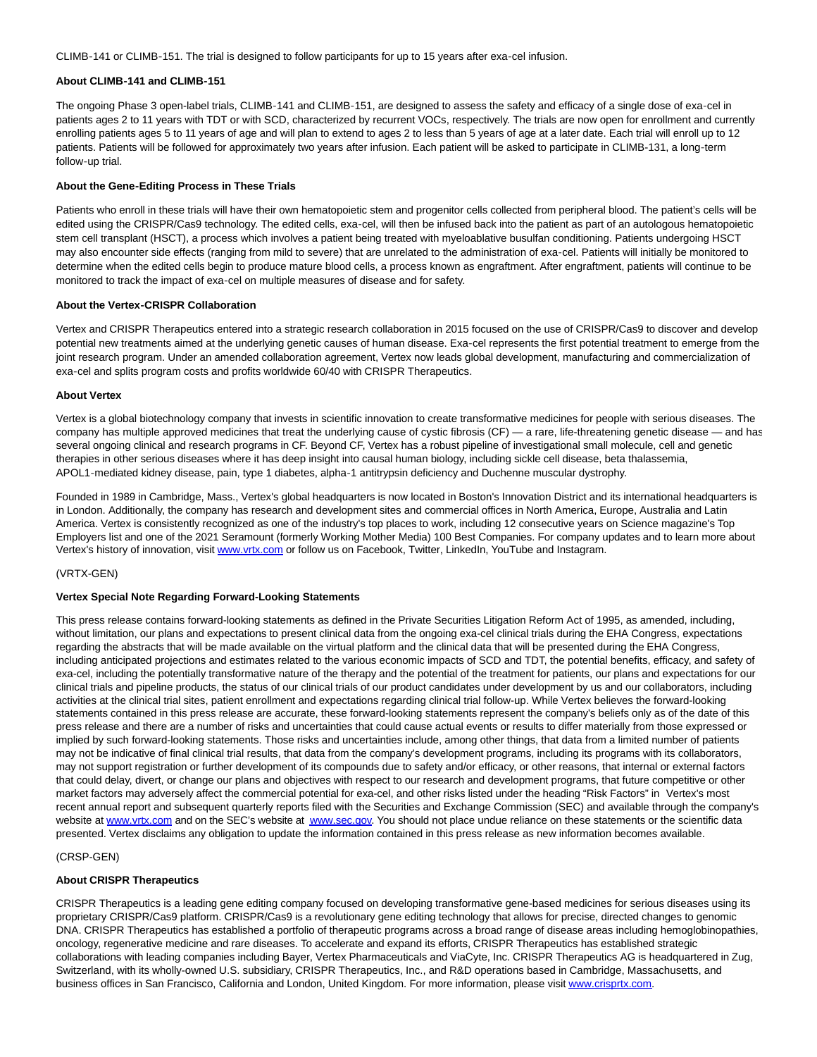CLIMB‑141 or CLIMB‑151. The trial is designed to follow participants for up to 15 years after exa‑cel infusion.

### **About CLIMB‑141 and CLIMB‑151**

The ongoing Phase 3 open-label trials, CLIMB-141 and CLIMB-151, are designed to assess the safety and efficacy of a single dose of exa-cel in patients ages 2 to 11 years with TDT or with SCD, characterized by recurrent VOCs, respectively. The trials are now open for enrollment and currently enrolling patients ages 5 to 11 years of age and will plan to extend to ages 2 to less than 5 years of age at a later date. Each trial will enroll up to 12 patients. Patients will be followed for approximately two years after infusion. Each patient will be asked to participate in CLIMB-131, a long-term follow‑up trial.

### **About the Gene‑Editing Process in These Trials**

Patients who enroll in these trials will have their own hematopoietic stem and progenitor cells collected from peripheral blood. The patient's cells will be edited using the CRISPR/Cas9 technology. The edited cells, exa-cel, will then be infused back into the patient as part of an autologous hematopoietic stem cell transplant (HSCT), a process which involves a patient being treated with myeloablative busulfan conditioning. Patients undergoing HSCT may also encounter side effects (ranging from mild to severe) that are unrelated to the administration of exa-cel. Patients will initially be monitored to determine when the edited cells begin to produce mature blood cells, a process known as engraftment. After engraftment, patients will continue to be monitored to track the impact of exa-cel on multiple measures of disease and for safety.

### **About the Vertex‑CRISPR Collaboration**

Vertex and CRISPR Therapeutics entered into a strategic research collaboration in 2015 focused on the use of CRISPR/Cas9 to discover and develop potential new treatments aimed at the underlying genetic causes of human disease. Exa-cel represents the first potential treatment to emerge from the joint research program. Under an amended collaboration agreement, Vertex now leads global development, manufacturing and commercialization of exa‑cel and splits program costs and profits worldwide 60/40 with CRISPR Therapeutics.

### **About Vertex**

Vertex is a global biotechnology company that invests in scientific innovation to create transformative medicines for people with serious diseases. The company has multiple approved medicines that treat the underlying cause of cystic fibrosis (CF) — a rare, life-threatening genetic disease — and has several ongoing clinical and research programs in CF. Beyond CF, Vertex has a robust pipeline of investigational small molecule, cell and genetic therapies in other serious diseases where it has deep insight into causal human biology, including sickle cell disease, beta thalassemia, APOL1‑mediated kidney disease, pain, type 1 diabetes, alpha‑1 antitrypsin deficiency and Duchenne muscular dystrophy.

Founded in 1989 in Cambridge, Mass., Vertex's global headquarters is now located in Boston's Innovation District and its international headquarters is in London. Additionally, the company has research and development sites and commercial offices in North America, Europe, Australia and Latin America. Vertex is consistently recognized as one of the industry's top places to work, including 12 consecutive years on Science magazine's Top Employers list and one of the 2021 Seramount (formerly Working Mother Media) 100 Best Companies. For company updates and to learn more about Vertex's history of innovation, visit [www.vrtx.com o](https://cts.businesswire.com/ct/CT?id=smartlink&url=https%3A%2F%2Fwww.vrtx.com%2F&esheet=52737226&newsitemid=20220601006221&lan=en-US&anchor=www.vrtx.com&index=3&md5=9146b874f49bf4076cc9b94f5402a335)r follow us on Facebook, Twitter, LinkedIn, YouTube and Instagram.

### (VRTX-GEN)

### **Vertex Special Note Regarding Forward-Looking Statements**

This press release contains forward-looking statements as defined in the Private Securities Litigation Reform Act of 1995, as amended, including, without limitation, our plans and expectations to present clinical data from the ongoing exa-cel clinical trials during the EHA Congress, expectations regarding the abstracts that will be made available on the virtual platform and the clinical data that will be presented during the EHA Congress, including anticipated projections and estimates related to the various economic impacts of SCD and TDT, the potential benefits, efficacy, and safety of exa-cel, including the potentially transformative nature of the therapy and the potential of the treatment for patients, our plans and expectations for our clinical trials and pipeline products, the status of our clinical trials of our product candidates under development by us and our collaborators, including activities at the clinical trial sites, patient enrollment and expectations regarding clinical trial follow-up. While Vertex believes the forward-looking statements contained in this press release are accurate, these forward-looking statements represent the company's beliefs only as of the date of this press release and there are a number of risks and uncertainties that could cause actual events or results to differ materially from those expressed or implied by such forward-looking statements. Those risks and uncertainties include, among other things, that data from a limited number of patients may not be indicative of final clinical trial results, that data from the company's development programs, including its programs with its collaborators, may not support registration or further development of its compounds due to safety and/or efficacy, or other reasons, that internal or external factors that could delay, divert, or change our plans and objectives with respect to our research and development programs, that future competitive or other market factors may adversely affect the commercial potential for exa-cel, and other risks listed under the heading "Risk Factors" in Vertex's most recent annual report and subsequent quarterly reports filed with the Securities and Exchange Commission (SEC) and available through the company's website at [www.vrtx.com a](https://cts.businesswire.com/ct/CT?id=smartlink&url=https%3A%2F%2Fwww.vrtx.com&esheet=52737226&newsitemid=20220601006221&lan=en-US&anchor=www.vrtx.com&index=4&md5=43c08ddb34b65f43d225de49863c00f8)nd on the SEC's website at [www.sec.gov.](https://cts.businesswire.com/ct/CT?id=smartlink&url=http%3A%2F%2Fwww.sec.gov&esheet=52737226&newsitemid=20220601006221&lan=en-US&anchor=www.sec.gov&index=5&md5=8cf74a741b5852cb70c9edac61bac39e) You should not place undue reliance on these statements or the scientific data presented. Vertex disclaims any obligation to update the information contained in this press release as new information becomes available.

### (CRSP-GEN)

### **About CRISPR Therapeutics**

CRISPR Therapeutics is a leading gene editing company focused on developing transformative gene-based medicines for serious diseases using its proprietary CRISPR/Cas9 platform. CRISPR/Cas9 is a revolutionary gene editing technology that allows for precise, directed changes to genomic DNA. CRISPR Therapeutics has established a portfolio of therapeutic programs across a broad range of disease areas including hemoglobinopathies, oncology, regenerative medicine and rare diseases. To accelerate and expand its efforts, CRISPR Therapeutics has established strategic collaborations with leading companies including Bayer, Vertex Pharmaceuticals and ViaCyte, Inc. CRISPR Therapeutics AG is headquartered in Zug, Switzerland, with its wholly-owned U.S. subsidiary, CRISPR Therapeutics, Inc., and R&D operations based in Cambridge, Massachusetts, and business offices in San Francisco, California and London, United Kingdom. For more information, please visi[t www.crisprtx.com.](https://cts.businesswire.com/ct/CT?id=smartlink&url=http%3A%2F%2Fwww.crisprtx.com&esheet=52737226&newsitemid=20220601006221&lan=en-US&anchor=www.crisprtx.com&index=6&md5=d9256d3545194242f2ce9a82eda1ecf3)